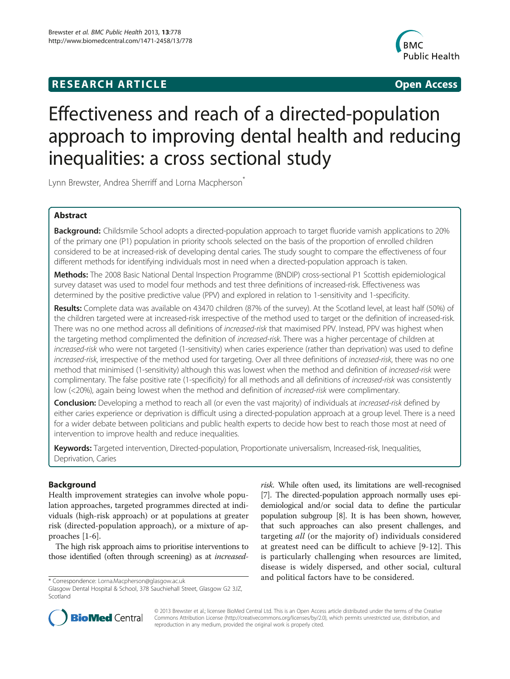## **RESEARCH ARTICLE CONSUMING A RESEARCH ARTICLE**



# Effectiveness and reach of a directed-population approach to improving dental health and reducing inequalities: a cross sectional study

Lynn Brewster, Andrea Sherriff and Lorna Macpherson<sup>\*</sup>

## Abstract

Background: Childsmile School adopts a directed-population approach to target fluoride varnish applications to 20% of the primary one (P1) population in priority schools selected on the basis of the proportion of enrolled children considered to be at increased-risk of developing dental caries. The study sought to compare the effectiveness of four different methods for identifying individuals most in need when a directed-population approach is taken.

Methods: The 2008 Basic National Dental Inspection Programme (BNDIP) cross-sectional P1 Scottish epidemiological survey dataset was used to model four methods and test three definitions of increased-risk. Effectiveness was determined by the positive predictive value (PPV) and explored in relation to 1-sensitivity and 1-specificity.

Results: Complete data was available on 43470 children (87% of the survey). At the Scotland level, at least half (50%) of the children targeted were at increased-risk irrespective of the method used to target or the definition of increased-risk. There was no one method across all definitions of *increased-risk* that maximised PPV. Instead, PPV was highest when the targeting method complimented the definition of *increased-risk*. There was a higher percentage of children at increased-risk who were not targeted (1-sensitivity) when caries experience (rather than deprivation) was used to define increased-risk, irrespective of the method used for targeting. Over all three definitions of increased-risk, there was no one method that minimised (1-sensitivity) although this was lowest when the method and definition of increased-risk were complimentary. The false positive rate (1-specificity) for all methods and all definitions of increased-risk was consistently low (<20%), again being lowest when the method and definition of *increased-risk* were complimentary.

Conclusion: Developing a method to reach all (or even the vast majority) of individuals at *increased-risk* defined by either caries experience or deprivation is difficult using a directed-population approach at a group level. There is a need for a wider debate between politicians and public health experts to decide how best to reach those most at need of intervention to improve health and reduce inequalities.

Keywords: Targeted intervention, Directed-population, Proportionate universalism, Increased-risk, Inequalities, Deprivation, Caries

## Background

Health improvement strategies can involve whole population approaches, targeted programmes directed at individuals (high-risk approach) or at populations at greater risk (directed-population approach), or a mixture of approaches [\[1](#page-8-0)-[6](#page-8-0)].

The high risk approach aims to prioritise interventions to those identified (often through screening) as at increased-

risk. While often used, its limitations are well-recognised [[7](#page-8-0)]. The directed-population approach normally uses epidemiological and/or social data to define the particular population subgroup [[8\]](#page-8-0). It is has been shown, however, that such approaches can also present challenges, and targeting all (or the majority of) individuals considered at greatest need can be difficult to achieve [\[9](#page-9-0)-[12](#page-9-0)]. This is particularly challenging when resources are limited, disease is widely dispersed, and other social, cultural \* Correspondence: [Lorna.Macpherson@glasgow.ac.uk](mailto:Lorna.Macpherson@glasgow.ac.uk) and political factors have to be considered.



© 2013 Brewster et al.; licensee BioMed Central Ltd. This is an Open Access article distributed under the terms of the Creative Commons Attribution License [\(http://creativecommons.org/licenses/by/2.0\)](http://creativecommons.org/licenses/by/2.0), which permits unrestricted use, distribution, and reproduction in any medium, provided the original work is properly cited.

Glasgow Dental Hospital & School, 378 Sauchiehall Street, Glasgow G2 3JZ, Scotland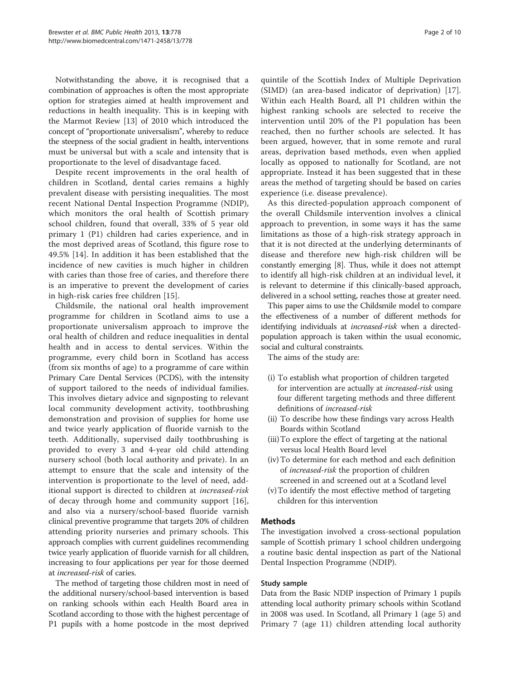Notwithstanding the above, it is recognised that a combination of approaches is often the most appropriate option for strategies aimed at health improvement and reductions in health inequality. This is in keeping with the Marmot Review [[13](#page-9-0)] of 2010 which introduced the concept of "proportionate universalism", whereby to reduce the steepness of the social gradient in health, interventions must be universal but with a scale and intensity that is proportionate to the level of disadvantage faced.

Despite recent improvements in the oral health of children in Scotland, dental caries remains a highly prevalent disease with persisting inequalities. The most recent National Dental Inspection Programme (NDIP), which monitors the oral health of Scottish primary school children, found that overall, 33% of 5 year old primary 1 (P1) children had caries experience, and in the most deprived areas of Scotland, this figure rose to 49.5% [[14\]](#page-9-0). In addition it has been established that the incidence of new cavities is much higher in children with caries than those free of caries, and therefore there is an imperative to prevent the development of caries in high-risk caries free children [\[15](#page-9-0)].

Childsmile, the national oral health improvement programme for children in Scotland aims to use a proportionate universalism approach to improve the oral health of children and reduce inequalities in dental health and in access to dental services. Within the programme, every child born in Scotland has access (from six months of age) to a programme of care within Primary Care Dental Services (PCDS), with the intensity of support tailored to the needs of individual families. This involves dietary advice and signposting to relevant local community development activity, toothbrushing demonstration and provision of supplies for home use and twice yearly application of fluoride varnish to the teeth. Additionally, supervised daily toothbrushing is provided to every 3 and 4-year old child attending nursery school (both local authority and private). In an attempt to ensure that the scale and intensity of the intervention is proportionate to the level of need, additional support is directed to children at increased-risk of decay through home and community support [[16](#page-9-0)], and also via a nursery/school-based fluoride varnish clinical preventive programme that targets 20% of children attending priority nurseries and primary schools. This approach complies with current guidelines recommending twice yearly application of fluoride varnish for all children, increasing to four applications per year for those deemed at increased-risk of caries.

The method of targeting those children most in need of the additional nursery/school-based intervention is based on ranking schools within each Health Board area in Scotland according to those with the highest percentage of P1 pupils with a home postcode in the most deprived

quintile of the Scottish Index of Multiple Deprivation (SIMD) (an area-based indicator of deprivation) [[17](#page-9-0)]. Within each Health Board, all P1 children within the highest ranking schools are selected to receive the intervention until 20% of the P1 population has been reached, then no further schools are selected. It has been argued, however, that in some remote and rural areas, deprivation based methods, even when applied locally as opposed to nationally for Scotland, are not appropriate. Instead it has been suggested that in these areas the method of targeting should be based on caries experience (i.e. disease prevalence).

As this directed-population approach component of the overall Childsmile intervention involves a clinical approach to prevention, in some ways it has the same limitations as those of a high-risk strategy approach in that it is not directed at the underlying determinants of disease and therefore new high-risk children will be constantly emerging [[8](#page-8-0)]. Thus, while it does not attempt to identify all high-risk children at an individual level, it is relevant to determine if this clinically-based approach, delivered in a school setting, reaches those at greater need.

This paper aims to use the Childsmile model to compare the effectiveness of a number of different methods for identifying individuals at increased-risk when a directedpopulation approach is taken within the usual economic, social and cultural constraints.

The aims of the study are:

- (i) To establish what proportion of children targeted for intervention are actually at increased-risk using four different targeting methods and three different definitions of increased-risk
- (ii) To describe how these findings vary across Health Boards within Scotland
- (iii)To explore the effect of targeting at the national versus local Health Board level
- (iv) To determine for each method and each definition of increased-risk the proportion of children screened in and screened out at a Scotland level
- (v)To identify the most effective method of targeting children for this intervention

## Methods

The investigation involved a cross-sectional population sample of Scottish primary 1 school children undergoing a routine basic dental inspection as part of the National Dental Inspection Programme (NDIP).

## Study sample

Data from the Basic NDIP inspection of Primary 1 pupils attending local authority primary schools within Scotland in 2008 was used. In Scotland, all Primary 1 (age 5) and Primary 7 (age 11) children attending local authority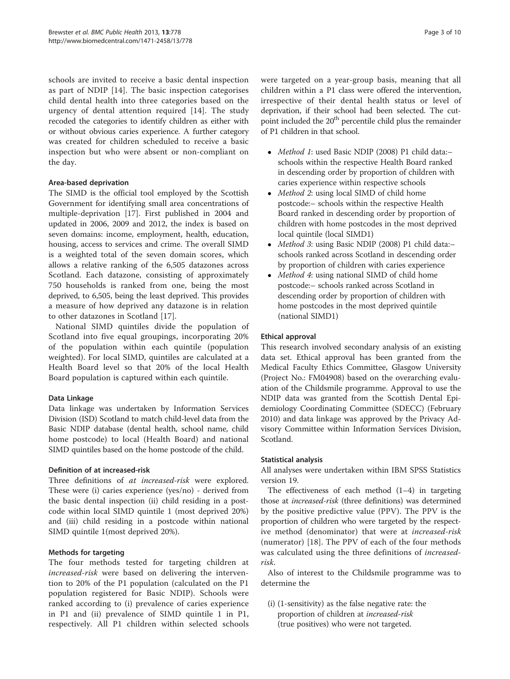schools are invited to receive a basic dental inspection as part of NDIP [\[14](#page-9-0)]. The basic inspection categorises child dental health into three categories based on the urgency of dental attention required [[14\]](#page-9-0). The study recoded the categories to identify children as either with or without obvious caries experience. A further category was created for children scheduled to receive a basic inspection but who were absent or non-compliant on the day.

## Area-based deprivation

The SIMD is the official tool employed by the Scottish Government for identifying small area concentrations of multiple-deprivation [[17\]](#page-9-0). First published in 2004 and updated in 2006, 2009 and 2012, the index is based on seven domains: income, employment, health, education, housing, access to services and crime. The overall SIMD is a weighted total of the seven domain scores, which allows a relative ranking of the 6,505 datazones across Scotland. Each datazone, consisting of approximately 750 households is ranked from one, being the most deprived, to 6,505, being the least deprived. This provides a measure of how deprived any datazone is in relation to other datazones in Scotland [[17\]](#page-9-0).

National SIMD quintiles divide the population of Scotland into five equal groupings, incorporating 20% of the population within each quintile (population weighted). For local SIMD, quintiles are calculated at a Health Board level so that 20% of the local Health Board population is captured within each quintile.

## Data Linkage

Data linkage was undertaken by Information Services Division (ISD) Scotland to match child-level data from the Basic NDIP database (dental health, school name, child home postcode) to local (Health Board) and national SIMD quintiles based on the home postcode of the child.

## Definition of at increased-risk

Three definitions of at increased-risk were explored. These were (i) caries experience (yes/no) - derived from the basic dental inspection (ii) child residing in a postcode within local SIMD quintile 1 (most deprived 20%) and (iii) child residing in a postcode within national SIMD quintile 1(most deprived 20%).

## Methods for targeting

The four methods tested for targeting children at increased-risk were based on delivering the intervention to 20% of the P1 population (calculated on the P1 population registered for Basic NDIP). Schools were ranked according to (i) prevalence of caries experience in P1 and (ii) prevalence of SIMD quintile 1 in P1, respectively. All P1 children within selected schools were targeted on a year-group basis, meaning that all children within a P1 class were offered the intervention, irrespective of their dental health status or level of deprivation, if their school had been selected. The cutpoint included the 20<sup>th</sup> percentile child plus the remainder of P1 children in that school.

- Method 1: used Basic NDIP (2008) P1 child data:– schools within the respective Health Board ranked in descending order by proportion of children with caries experience within respective schools
- Method 2: using local SIMD of child home postcode:– schools within the respective Health Board ranked in descending order by proportion of children with home postcodes in the most deprived local quintile (local SIMD1)
- Method 3: using Basic NDIP (2008) P1 child data:– schools ranked across Scotland in descending order by proportion of children with caries experience
- Method 4: using national SIMD of child home postcode:– schools ranked across Scotland in descending order by proportion of children with home postcodes in the most deprived quintile (national SIMD1)

## Ethical approval

This research involved secondary analysis of an existing data set. Ethical approval has been granted from the Medical Faculty Ethics Committee, Glasgow University (Project No.: FM04908) based on the overarching evaluation of the Childsmile programme. Approval to use the NDIP data was granted from the Scottish Dental Epidemiology Coordinating Committee (SDECC) (February 2010) and data linkage was approved by the Privacy Advisory Committee within Information Services Division, Scotland.

## Statistical analysis

All analyses were undertaken within IBM SPSS Statistics version 19.

The effectiveness of each method  $(1-4)$  in targeting those at increased-risk (three definitions) was determined by the positive predictive value (PPV). The PPV is the proportion of children who were targeted by the respective method (denominator) that were at increased-risk (numerator) [[18\]](#page-9-0). The PPV of each of the four methods was calculated using the three definitions of increasedrisk.

Also of interest to the Childsmile programme was to determine the

(i) (1-sensitivity) as the false negative rate: the proportion of children at increased-risk (true positives) who were not targeted.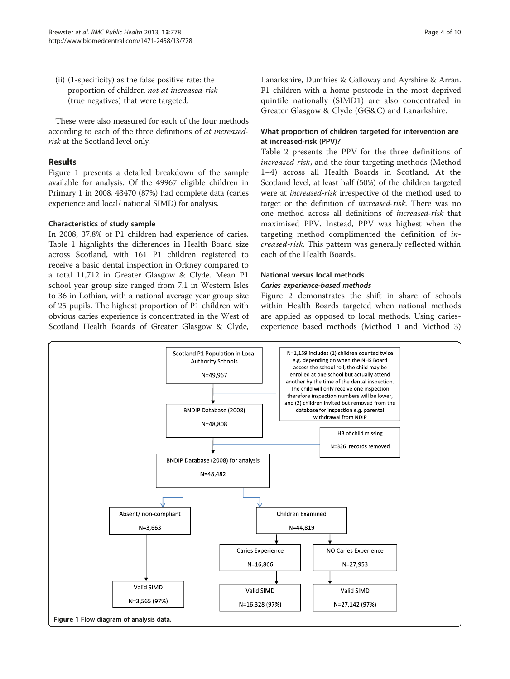(ii) (1-specificity) as the false positive rate: the proportion of children not at increased-risk (true negatives) that were targeted.

These were also measured for each of the four methods according to each of the three definitions of at increasedrisk at the Scotland level only.

## Results

Figure 1 presents a detailed breakdown of the sample available for analysis. Of the 49967 eligible children in Primary 1 in 2008, 43470 (87%) had complete data (caries experience and local/ national SIMD) for analysis.

## Characteristics of study sample

In 2008, 37.8% of P1 children had experience of caries. Table [1](#page-4-0) highlights the differences in Health Board size across Scotland, with 161 P1 children registered to receive a basic dental inspection in Orkney compared to a total 11,712 in Greater Glasgow & Clyde. Mean P1 school year group size ranged from 7.1 in Western Isles to 36 in Lothian, with a national average year group size of 25 pupils. The highest proportion of P1 children with obvious caries experience is concentrated in the West of Scotland Health Boards of Greater Glasgow & Clyde, Lanarkshire, Dumfries & Galloway and Ayrshire & Arran. P1 children with a home postcode in the most deprived quintile nationally (SIMD1) are also concentrated in Greater Glasgow & Clyde (GG&C) and Lanarkshire.

## What proportion of children targeted for intervention are at increased-risk (PPV)?

Table [2](#page-5-0) presents the PPV for the three definitions of increased-risk, and the four targeting methods (Method 1–4) across all Health Boards in Scotland. At the Scotland level, at least half (50%) of the children targeted were at increased-risk irrespective of the method used to target or the definition of increased-risk. There was no one method across all definitions of increased-risk that maximised PPV. Instead, PPV was highest when the targeting method complimented the definition of increased-risk. This pattern was generally reflected within each of the Health Boards.

## National versus local methods

## Caries experience-based methods

Figure [2](#page-6-0) demonstrates the shift in share of schools within Health Boards targeted when national methods are applied as opposed to local methods. Using cariesexperience based methods (Method 1 and Method 3)

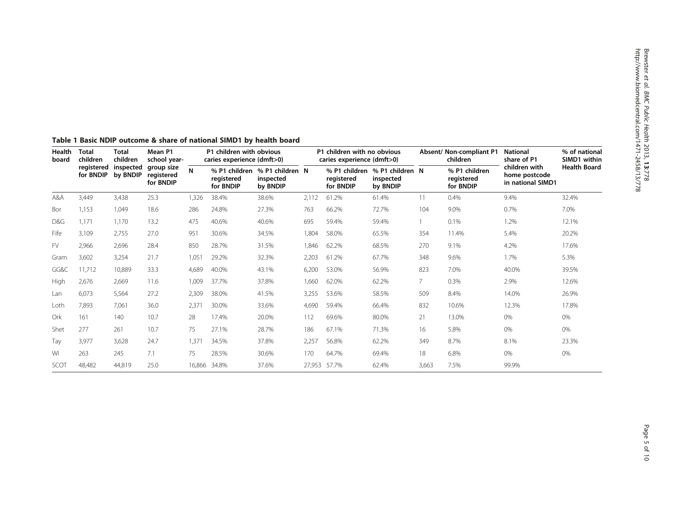| Health<br>board | <b>Total</b><br>children<br>registered<br>for BNDIP | <b>Total</b><br>children<br>inspected<br>by BNDIP | Mean P1<br>school year-<br>group size<br>registered<br>for BNDIP | P1 children with obvious<br>caries experience (dmft>0) |                         |                                                        | P1 children with no obvious<br>caries experience (dmft>0) |                                          |                                          |                | Absent/ Non-compliant P1<br>children     | <b>National</b><br>share of P1                      | % of national<br>SIMD1 within |
|-----------------|-----------------------------------------------------|---------------------------------------------------|------------------------------------------------------------------|--------------------------------------------------------|-------------------------|--------------------------------------------------------|-----------------------------------------------------------|------------------------------------------|------------------------------------------|----------------|------------------------------------------|-----------------------------------------------------|-------------------------------|
|                 |                                                     |                                                   |                                                                  | N                                                      | registered<br>for BNDIP | % P1 children % P1 children N<br>inspected<br>by BNDIP |                                                           | % P1 children<br>registered<br>for BNDIP | % P1 children N<br>inspected<br>by BNDIP |                | % P1 children<br>registered<br>for BNDIP | children with<br>home postcode<br>in national SIMD1 | <b>Health Board</b>           |
| A&A             | 3,449                                               | 3,438                                             | 25.3                                                             | 1,326                                                  | 38.4%                   | 38.6%                                                  | 2,112                                                     | 61.2%                                    | 61.4%                                    | 11             | 0.4%                                     | 9.4%                                                | 32.4%                         |
| Bor             | 1,153                                               | 1,049                                             | 18.6                                                             | 286                                                    | 24.8%                   | 27.3%                                                  | 763                                                       | 66.2%                                    | 72.7%                                    | 104            | 9.0%                                     | 0.7%                                                | 7.0%                          |
| D&G             | 1.171                                               | 1,170                                             | 13.2                                                             | 475                                                    | 40.6%                   | 40.6%                                                  | 695                                                       | 59.4%                                    | 59.4%                                    |                | 0.1%                                     | 1.2%                                                | 12.1%                         |
| Fife            | 3,109                                               | 2,755                                             | 27.0                                                             | 951                                                    | 30.6%                   | 34.5%                                                  | 1,804                                                     | 58.0%                                    | 65.5%                                    | 354            | 11.4%                                    | 5.4%                                                | 20.2%                         |
| <b>FV</b>       | 2,966                                               | 2,696                                             | 28.4                                                             | 850                                                    | 28.7%                   | 31.5%                                                  | 1,846                                                     | 62.2%                                    | 68.5%                                    | 270            | 9.1%                                     | 4.2%                                                | 17.6%                         |
| Gram            | 3,602                                               | 3,254                                             | 21.7                                                             | 1,051                                                  | 29.2%                   | 32.3%                                                  | 2,203                                                     | 61.2%                                    | 67.7%                                    | 348            | 9.6%                                     | 1.7%                                                | 5.3%                          |
| GG&C            | 11,712                                              | 10,889                                            | 33.3                                                             | 4,689                                                  | 40.0%                   | 43.1%                                                  | 6,200                                                     | 53.0%                                    | 56.9%                                    | 823            | 7.0%                                     | 40.0%                                               | 39.5%                         |
| High            | 2,676                                               | 2,669                                             | 11.6                                                             | 1,009                                                  | 37.7%                   | 37.8%                                                  | 1,660                                                     | 62.0%                                    | 62.2%                                    | $\overline{7}$ | 0.3%                                     | 2.9%                                                | 12.6%                         |
| Lan             | 6,073                                               | 5,564                                             | 27.2                                                             | 2,309                                                  | 38.0%                   | 41.5%                                                  | 3,255                                                     | 53.6%                                    | 58.5%                                    | 509            | 8.4%                                     | 14.0%                                               | 26.9%                         |
| Loth            | 7,893                                               | 7,061                                             | 36.0                                                             | 2,371                                                  | 30.0%                   | 33.6%                                                  | 4,690                                                     | 59.4%                                    | 66.4%                                    | 832            | 10.6%                                    | 12.3%                                               | 17.8%                         |
| Ork             | 161                                                 | 140                                               | 10.7                                                             | 28                                                     | 17.4%                   | 20.0%                                                  | 112                                                       | 69.6%                                    | 80.0%                                    | 21             | 13.0%                                    | 0%                                                  | 0%                            |
| Shet            | 277                                                 | 261                                               | 10.7                                                             | 75                                                     | 27.1%                   | 28.7%                                                  | 186                                                       | 67.1%                                    | 71.3%                                    | 16             | 5.8%                                     | 0%                                                  | 0%                            |
| Tay             | 3,977                                               | 3,628                                             | 24.7                                                             | 1,371                                                  | 34.5%                   | 37.8%                                                  | 2,257                                                     | 56.8%                                    | 62.2%                                    | 349            | 8.7%                                     | 8.1%                                                | 23.3%                         |
| WI              | 263                                                 | 245                                               | 7.1                                                              | 75                                                     | 28.5%                   | 30.6%                                                  | 170                                                       | 64.7%                                    | 69.4%                                    | 18             | 6.8%                                     | 0%                                                  | 0%                            |
| SCOT            | 48,482                                              | 44,819                                            | 25.0                                                             | 16,866                                                 | 34.8%                   | 37.6%                                                  |                                                           | 27,953 57.7%                             | 62.4%                                    | 3,663          | 7.5%                                     | 99.9%                                               |                               |

## <span id="page-4-0"></span>Table 1 Basic NDIP outcome & share of national SIMD1 by health board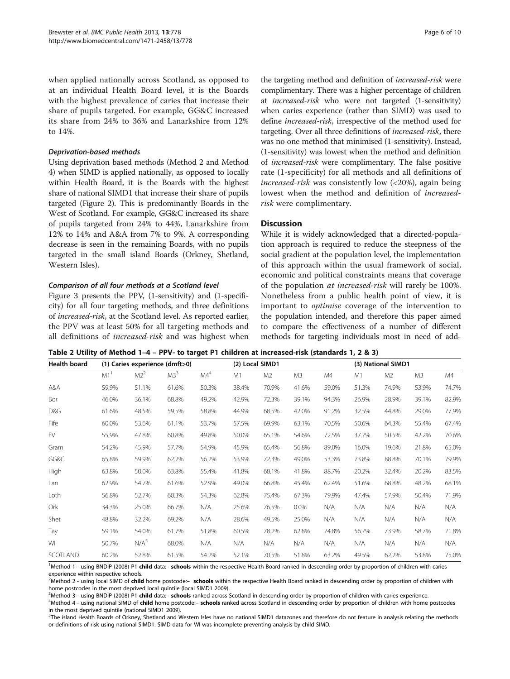<span id="page-5-0"></span>when applied nationally across Scotland, as opposed to at an individual Health Board level, it is the Boards with the highest prevalence of caries that increase their share of pupils targeted. For example, GG&C increased its share from 24% to 36% and Lanarkshire from 12% to 14%.

#### Deprivation-based methods

Using deprivation based methods (Method 2 and Method 4) when SIMD is applied nationally, as opposed to locally within Health Board, it is the Boards with the highest share of national SIMD1 that increase their share of pupils targeted (Figure [2](#page-6-0)). This is predominantly Boards in the West of Scotland. For example, GG&C increased its share of pupils targeted from 24% to 44%, Lanarkshire from 12% to 14% and A&A from 7% to 9%. A corresponding decrease is seen in the remaining Boards, with no pupils targeted in the small island Boards (Orkney, Shetland, Western Isles).

#### Comparison of all four methods at a Scotland level

Figure [3](#page-6-0) presents the PPV, (1-sensitivity) and (1-specificity) for all four targeting methods, and three definitions of increased-risk, at the Scotland level. As reported earlier, the PPV was at least 50% for all targeting methods and all definitions of increased-risk and was highest when

the targeting method and definition of increased-risk were complimentary. There was a higher percentage of children at increased-risk who were not targeted (1-sensitivity) when caries experience (rather than SIMD) was used to define increased-risk, irrespective of the method used for targeting. Over all three definitions of increased-risk, there was no one method that minimised (1-sensitivity). Instead, (1-sensitivity) was lowest when the method and definition of increased-risk were complimentary. The false positive rate (1-specificity) for all methods and all definitions of increased-risk was consistently low (<20%), again being lowest when the method and definition of increasedrisk were complimentary.

#### **Discussion**

While it is widely acknowledged that a directed-population approach is required to reduce the steepness of the social gradient at the population level, the implementation of this approach within the usual framework of social, economic and political constraints means that coverage of the population at increased-risk will rarely be 100%. Nonetheless from a public health point of view, it is important to optimise coverage of the intervention to the population intended, and therefore this paper aimed to compare the effectiveness of a number of different methods for targeting individuals most in need of add-

Table 2 Utility of Method 1–4 – PPV- to target P1 children at increased-risk (standards 1, 2 & 3)

| <b>Health board</b> |                 | (1) Caries experience (dmft>0) |                 |                 | (2) Local SIMD1 |                |         | (3) National SIMD1 |       |                |       |       |
|---------------------|-----------------|--------------------------------|-----------------|-----------------|-----------------|----------------|---------|--------------------|-------|----------------|-------|-------|
|                     | M1 <sup>1</sup> | M2 <sup>2</sup>                | M3 <sup>3</sup> | MA <sup>4</sup> | M1              | M <sub>2</sub> | M3      | M4                 | M1    | M <sub>2</sub> | M3    | M4    |
| A&A                 | 59.9%           | 51.1%                          | 61.6%           | 50.3%           | 38.4%           | 70.9%          | 41.6%   | 59.0%              | 51.3% | 74.9%          | 53.9% | 74.7% |
| Bor                 | 46.0%           | 36.1%                          | 68.8%           | 49.2%           | 42.9%           | 72.3%          | 39.1%   | 94.3%              | 26.9% | 28.9%          | 39.1% | 82.9% |
| D&G                 | 61.6%           | 48.5%                          | 59.5%           | 58.8%           | 44.9%           | 68.5%          | 42.0%   | 91.2%              | 32.5% | 44.8%          | 29.0% | 77.9% |
| Fife                | 60.0%           | 53.6%                          | 61.1%           | 53.7%           | 57.5%           | 69.9%          | 63.1%   | 70.5%              | 50.6% | 64.3%          | 55.4% | 67.4% |
| <b>FV</b>           | 55.9%           | 47.8%                          | 60.8%           | 49.8%           | 50.0%           | 65.1%          | 54.6%   | 72.5%              | 37.7% | 50.5%          | 42.2% | 70.6% |
| Gram                | 54.2%           | 45.9%                          | 57.7%           | 54.9%           | 45.9%           | 65.4%          | 56.8%   | 89.0%              | 16.0% | 19.6%          | 21.8% | 65.0% |
| GG&C                | 65.8%           | 59.9%                          | 62.2%           | 56.2%           | 53.9%           | 72.3%          | 49.0%   | 53.3%              | 73.8% | 88.8%          | 70.1% | 79.9% |
| High                | 63.8%           | 50.0%                          | 63.8%           | 55.4%           | 41.8%           | 68.1%          | 41.8%   | 88.7%              | 20.2% | 32.4%          | 20.2% | 83.5% |
| Lan                 | 62.9%           | 54.7%                          | 61.6%           | 52.9%           | 49.0%           | 66.8%          | 45.4%   | 62.4%              | 51.6% | 68.8%          | 48.2% | 68.1% |
| Loth                | 56.8%           | 52.7%                          | 60.3%           | 54.3%           | 62.8%           | 75.4%          | 67.3%   | 79.9%              | 47.4% | 57.9%          | 50.4% | 71.9% |
| Ork                 | 34.3%           | 25.0%                          | 66.7%           | N/A             | 25.6%           | 76.5%          | $0.0\%$ | N/A                | N/A   | N/A            | N/A   | N/A   |
| Shet                | 48.8%           | 32.2%                          | 69.2%           | N/A             | 28.6%           | 49.5%          | 25.0%   | N/A                | N/A   | N/A            | N/A   | N/A   |
| Tay                 | 59.1%           | 54.0%                          | 61.7%           | 51.8%           | 60.5%           | 78.2%          | 62.8%   | 74.8%              | 56.7% | 73.9%          | 58.7% | 71.8% |
| WI                  | 50.7%           | N/A <sup>5</sup>               | 68.0%           | N/A             | N/A             | N/A            | N/A     | N/A                | N/A   | N/A            | N/A   | N/A   |
| SCOTLAND            | 60.2%           | 52.8%                          | 61.5%           | 54.2%           | 52.1%           | 70.5%          | 51.8%   | 63.2%              | 49.5% | 62.2%          | 53.8% | 75.0% |

<sup>1</sup>Method 1 - using BNDIP (2008) P1 child data:- schools within the respective Health Board ranked in descending order by proportion of children with caries experience within respective schools.

<sup>2</sup>Method 2 - using local SIMD of child home postcode:- schools within the respective Health Board ranked in descending order by proportion of children with home postcodes in the most deprived local quintile (local SIMD1 2009).

<sup>3</sup>Method 3 - using BNDIP (2008) P1 **child** data:**– schools** ranked across Scotland in descending order by proportion of children with caries experience.<br><sup>4</sup>Method 4 - using pational SIMD of **child** home postcode:**- school** 

<sup>4</sup>Method 4 - using national SIMD of child home postcode:- schools ranked across Scotland in descending order by proportion of children with home postcodes in the most deprived quintile (national SIMD1 2009).

<sub>.</sub><br>The island Health Boards of Orkney, Shetland and Western Isles have no national SIMD1 datazones and therefore do not feature in analysis relating the methods or definitions of risk using national SIMD1. SIMD data for WI was incomplete preventing analysis by child SIMD.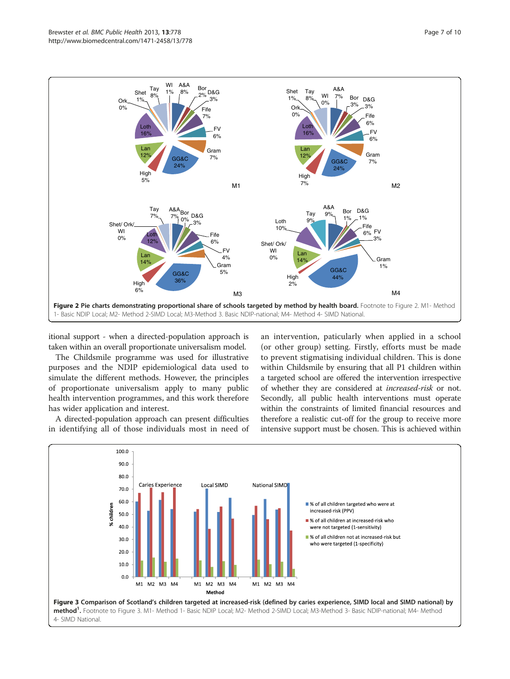<span id="page-6-0"></span>

itional support - when a directed-population approach is taken within an overall proportionate universalism model.

The Childsmile programme was used for illustrative purposes and the NDIP epidemiological data used to simulate the different methods. However, the principles of proportionate universalism apply to many public health intervention programmes, and this work therefore has wider application and interest.

A directed-population approach can present difficulties in identifying all of those individuals most in need of an intervention, paticularly when applied in a school (or other group) setting. Firstly, efforts must be made to prevent stigmatising individual children. This is done within Childsmile by ensuring that all P1 children within a targeted school are offered the intervention irrespective of whether they are considered at increased-risk or not. Secondly, all public health interventions must operate within the constraints of limited financial resources and therefore a realistic cut-off for the group to receive more intensive support must be chosen. This is achieved within

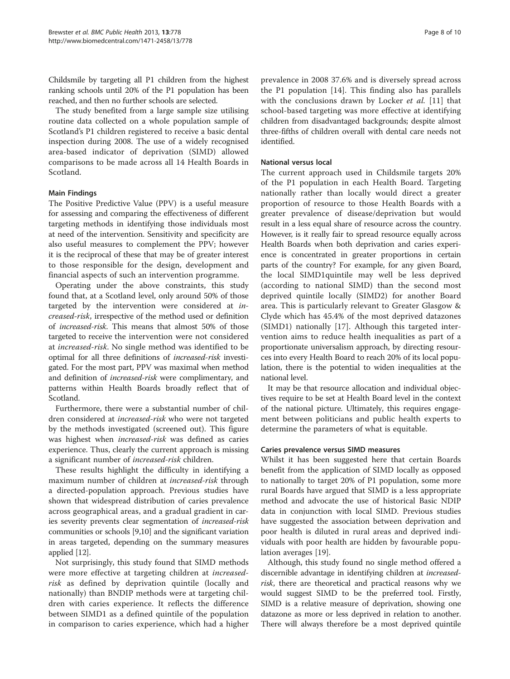Childsmile by targeting all P1 children from the highest ranking schools until 20% of the P1 population has been reached, and then no further schools are selected.

The study benefited from a large sample size utilising routine data collected on a whole population sample of Scotland's P1 children registered to receive a basic dental inspection during 2008. The use of a widely recognised area-based indicator of deprivation (SIMD) allowed comparisons to be made across all 14 Health Boards in Scotland.

## Main Findings

The Positive Predictive Value (PPV) is a useful measure for assessing and comparing the effectiveness of different targeting methods in identifying those individuals most at need of the intervention. Sensitivity and specificity are also useful measures to complement the PPV; however it is the reciprocal of these that may be of greater interest to those responsible for the design, development and financial aspects of such an intervention programme.

Operating under the above constraints, this study found that, at a Scotland level, only around 50% of those targeted by the intervention were considered at increased-risk, irrespective of the method used or definition of increased-risk. This means that almost 50% of those targeted to receive the intervention were not considered at increased-risk. No single method was identified to be optimal for all three definitions of increased-risk investigated. For the most part, PPV was maximal when method and definition of increased-risk were complimentary, and patterns within Health Boards broadly reflect that of Scotland.

Furthermore, there were a substantial number of children considered at increased-risk who were not targeted by the methods investigated (screened out). This figure was highest when increased-risk was defined as caries experience. Thus, clearly the current approach is missing a significant number of increased-risk children.

These results highlight the difficulty in identifying a maximum number of children at *increased-risk* through a directed-population approach. Previous studies have shown that widespread distribution of caries prevalence across geographical areas, and a gradual gradient in caries severity prevents clear segmentation of increased-risk communities or schools [[9,10](#page-9-0)] and the significant variation in areas targeted, depending on the summary measures applied [\[12\]](#page-9-0).

Not surprisingly, this study found that SIMD methods were more effective at targeting children at increasedrisk as defined by deprivation quintile (locally and nationally) than BNDIP methods were at targeting children with caries experience. It reflects the difference between SIMD1 as a defined quintile of the population in comparison to caries experience, which had a higher

prevalence in 2008 37.6% and is diversely spread across the P1 population [[14\]](#page-9-0). This finding also has parallels with the conclusions drawn by Locker et al. [[11\]](#page-9-0) that school-based targeting was more effective at identifying children from disadvantaged backgrounds; despite almost three-fifths of children overall with dental care needs not identified.

## National versus local

The current approach used in Childsmile targets 20% of the P1 population in each Health Board. Targeting nationally rather than locally would direct a greater proportion of resource to those Health Boards with a greater prevalence of disease/deprivation but would result in a less equal share of resource across the country. However, is it really fair to spread resource equally across Health Boards when both deprivation and caries experience is concentrated in greater proportions in certain parts of the country? For example, for any given Board, the local SIMD1quintile may well be less deprived (according to national SIMD) than the second most deprived quintile locally (SIMD2) for another Board area. This is particularly relevant to Greater Glasgow & Clyde which has 45.4% of the most deprived datazones (SIMD1) nationally [\[17](#page-9-0)]. Although this targeted intervention aims to reduce health inequalities as part of a proportionate universalism approach, by directing resources into every Health Board to reach 20% of its local population, there is the potential to widen inequalities at the national level.

It may be that resource allocation and individual objectives require to be set at Health Board level in the context of the national picture. Ultimately, this requires engagement between politicians and public health experts to determine the parameters of what is equitable.

#### Caries prevalence versus SIMD measures

Whilst it has been suggested here that certain Boards benefit from the application of SIMD locally as opposed to nationally to target 20% of P1 population, some more rural Boards have argued that SIMD is a less appropriate method and advocate the use of historical Basic NDIP data in conjunction with local SIMD. Previous studies have suggested the association between deprivation and poor health is diluted in rural areas and deprived individuals with poor health are hidden by favourable population averages [\[19\]](#page-9-0).

Although, this study found no single method offered a discernible advantage in identifying children at increasedrisk, there are theoretical and practical reasons why we would suggest SIMD to be the preferred tool. Firstly, SIMD is a relative measure of deprivation, showing one datazone as more or less deprived in relation to another. There will always therefore be a most deprived quintile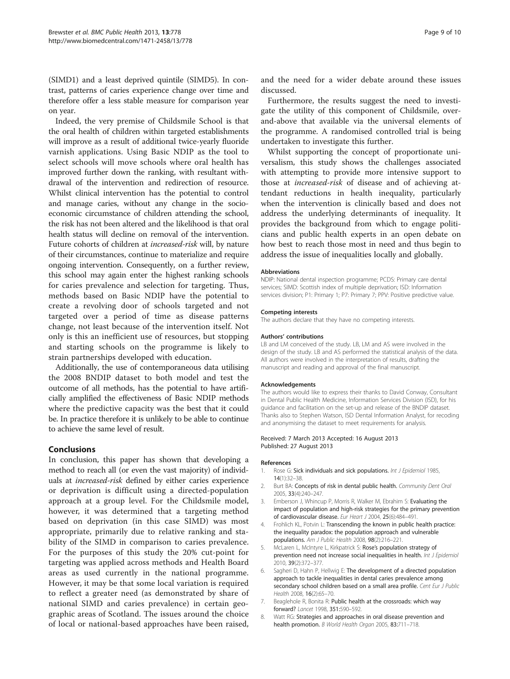<span id="page-8-0"></span>(SIMD1) and a least deprived quintile (SIMD5). In contrast, patterns of caries experience change over time and therefore offer a less stable measure for comparison year on year.

Indeed, the very premise of Childsmile School is that the oral health of children within targeted establishments will improve as a result of additional twice-yearly fluoride varnish applications. Using Basic NDIP as the tool to select schools will move schools where oral health has improved further down the ranking, with resultant withdrawal of the intervention and redirection of resource. Whilst clinical intervention has the potential to control and manage caries, without any change in the socioeconomic circumstance of children attending the school, the risk has not been altered and the likelihood is that oral health status will decline on removal of the intervention. Future cohorts of children at increased-risk will, by nature of their circumstances, continue to materialize and require ongoing intervention. Consequently, on a further review, this school may again enter the highest ranking schools for caries prevalence and selection for targeting. Thus, methods based on Basic NDIP have the potential to create a revolving door of schools targeted and not targeted over a period of time as disease patterns change, not least because of the intervention itself. Not only is this an inefficient use of resources, but stopping and starting schools on the programme is likely to strain partnerships developed with education.

Additionally, the use of contemporaneous data utilising the 2008 BNDIP dataset to both model and test the outcome of all methods, has the potential to have artificially amplified the effectiveness of Basic NDIP methods where the predictive capacity was the best that it could be. In practice therefore it is unlikely to be able to continue to achieve the same level of result.

#### Conclusions

In conclusion, this paper has shown that developing a method to reach all (or even the vast majority) of individuals at increased-risk defined by either caries experience or deprivation is difficult using a directed-population approach at a group level. For the Childsmile model, however, it was determined that a targeting method based on deprivation (in this case SIMD) was most appropriate, primarily due to relative ranking and stability of the SIMD in comparison to caries prevalence. For the purposes of this study the 20% cut-point for targeting was applied across methods and Health Board areas as used currently in the national programme. However, it may be that some local variation is required to reflect a greater need (as demonstrated by share of national SIMD and caries prevalence) in certain geographic areas of Scotland. The issues around the choice of local or national-based approaches have been raised, and the need for a wider debate around these issues discussed.

Furthermore, the results suggest the need to investigate the utility of this component of Childsmile, overand-above that available via the universal elements of the programme. A randomised controlled trial is being undertaken to investigate this further.

Whilst supporting the concept of proportionate universalism, this study shows the challenges associated with attempting to provide more intensive support to those at increased-risk of disease and of achieving attendant reductions in health inequality, particularly when the intervention is clinically based and does not address the underlying determinants of inequality. It provides the background from which to engage politicians and public health experts in an open debate on how best to reach those most in need and thus begin to address the issue of inequalities locally and globally.

#### Abbreviations

NDIP: National dental inspection programme; PCDS: Primary care dental services; SIMD: Scottish index of multiple deprivation; ISD: Information services division; P1: Primary 1; P7: Primary 7; PPV: Positive predictive value.

#### Competing interests

The authors declare that they have no competing interests.

#### Authors' contributions

LB and LM conceived of the study. LB, LM and AS were involved in the design of the study. LB and AS performed the statistical analysis of the data. All authors were involved in the interpretation of results, drafting the manuscript and reading and approval of the final manuscript.

#### Acknowledgements

The authors would like to express their thanks to David Conway, Consultant in Dental Public Health Medicine, Information Services Division (ISD), for his guidance and facilitation on the set-up and release of the BNDIP dataset. Thanks also to Stephen Watson, ISD Dental Information Analyst, for recoding and anonymising the dataset to meet requirements for analysis.

#### Received: 7 March 2013 Accepted: 16 August 2013 Published: 27 August 2013

#### References

- 1. Rose G: Sick individuals and sick populations. Int J Epidemiol 1985, 14(1):32–38.
- 2. Burt BA: Concepts of risk in dental public health. Community Dent Oral 2005, 33(4):240–247.
- 3. Emberson J, Whincup P, Morris R, Walker M, Ebrahim S: Evaluating the impact of population and high-risk strategies for the primary prevention of cardiovascular disease. Eur Heart J 2004, 25(6):484–491.
- 4. Frohlich KL, Potvin L: Transcending the known in public health practice: the inequality paradox: the population approach and vulnerable populations. Am J Public Health 2008, 98(2):216–221.
- 5. McLaren L, McIntyre L, Kirkpatrick S: Rose's population strategy of prevention need not increase social inequalities in health. Int J Epidemiol 2010, 39(2):372–377.
- 6. Sagheri D, Hahn P, Hellwig E: The development of a directed population approach to tackle inequalities in dental caries prevalence among secondary school children based on a small area profile. Cent Eur J Public Health 2008, **16**(2):65-70.
- 7. Beaglehole R, Bonita R: Public health at the crossroads: which way forward? Lancet 1998, 351:590–592.
- 8. Watt RG: Strategies and approaches in oral disease prevention and health promotion. B World Health Organ 2005, 83:711-718.